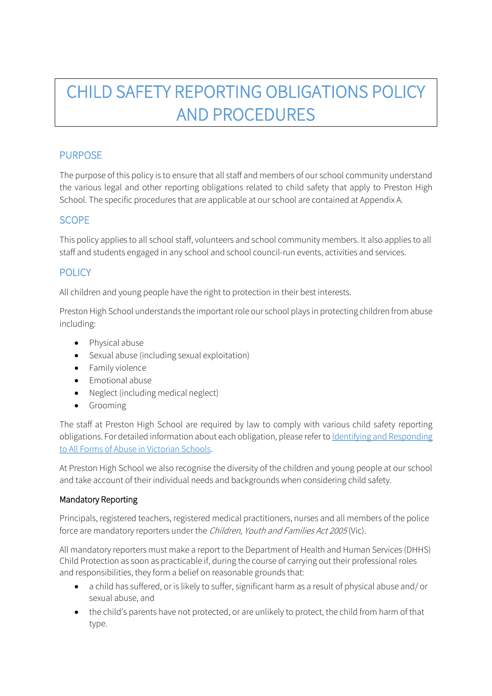# CHILD SAFETY REPORTING OBLIGATIONS POLICY AND PROCEDURES

# PURPOSE

The purpose of this policy is to ensure that all staff and members of our school community understand the various legal and other reporting obligations related to child safety that apply to Preston High School. The specific procedures that are applicable at our school are contained at Appendix A.

# **SCOPE**

This policy applies to all school staff, volunteers and school community members. It also applies to all staff and students engaged in any school and school council-run events, activities and services.

# **POLICY**

All children and young people have the right to protection in their best interests.

Preston High School understands the important role our school plays in protecting children from abuse including:

- Physical abuse
- Sexual abuse (including sexual exploitation)
- Family violence
- Emotional abuse
- Neglect (including medical neglect)
- Grooming

The staff at Preston High School are required by law to comply with various child safety reporting obligations. For detailed information about each obligation, please refer to Identifying and Responding [to All Forms of Abuse in Victorian Schools.](https://www.education.vic.gov.au/Documents/about/programs/health/protect/ChildSafeStandard5_SchoolsGuide.pdf)

At Preston High School we also recognise the diversity of the children and young people at our school and take account of their individual needs and backgrounds when considering child safety.

#### Mandatory Reporting

Principals, registered teachers, registered medical practitioners, nurses and all members of the police force are mandatory reporters under the Children, Youth and Families Act 2005 (Vic).

All mandatory reporters must make a report to the Department of Health and Human Services (DHHS) Child Protection as soon as practicable if, during the course of carrying out their professional roles and responsibilities, they form a belief on reasonable grounds that:

- a child has suffered, or is likely to suffer, significant harm as a result of physical abuse and/ or sexual abuse, and
- the child's parents have not protected, or are unlikely to protect, the child from harm of that type.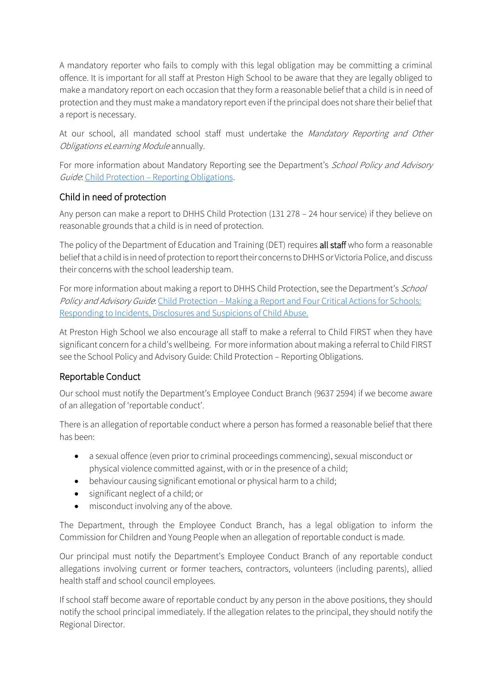A mandatory reporter who fails to comply with this legal obligation may be committing a criminal offence. It is important for all staff at Preston High School to be aware that they are legally obliged to make a mandatory report on each occasion that they form a reasonable belief that a child is in need of protection and they must make a mandatory report even if the principal does not share their belief that a report is necessary.

At our school, all mandated school staff must undertake the Mandatory Reporting and Other Obligations eLearning Module annually.

For more information about Mandatory Reporting see the Department's School Policy and Advisory Guide: Child Protection – [Reporting Obligations.](http://www.education.vic.gov.au/school/principals/spag/safety/Pages/childprotectobligation.aspx)

# Child in need of protection

Any person can make a report to DHHS Child Protection (131 278 – 24 hour service) if they believe on reasonable grounds that a child is in need of protection.

The policy of the Department of Education and Training (DET) requires all staff who form a reasonable belief that a child is in need of protection to report their concerns to DHHS or Victoria Police, and discuss their concerns with the school leadership team.

For more information about making a report to DHHS Child Protection, see the Department's School Policy and Advisory Guide. Child Protection – Making a Report and Four Critical Actions for Schools: [Responding to Incidents, Disclosures and Suspicions of Child Abuse.](https://www.education.vic.gov.au/Documents/about/programs/health/protect/FourCriticalActions_ChildAbuse.pdf)

At Preston High School we also encourage all staff to make a referral to Child FIRST when they have significant concern for a child's wellbeing. For more information about making a referral to Child FIRST see the School Policy and Advisory Guide: Child Protection – [Reporting Obligations.](https://www.education.vic.gov.au/school/principals/spag/safety/Pages/childprotectobligation.aspx)

# Reportable Conduct

Our school must notify the Department's Employee Conduct Branch (9637 2594) if we become aware of an allegation of 'reportable conduct'.

There is an allegation of reportable conduct where a person has formed a reasonable belief that there has been:

- a sexual offence (even prior to criminal proceedings commencing), sexual misconduct or physical violence committed against, with or in the presence of a child;
- behaviour causing significant emotional or physical harm to a child;
- significant neglect of a child; or
- misconduct involving any of the above.

The Department, through the Employee Conduct Branch, has a legal obligation to inform the Commission for Children and Young People when an allegation of reportable conduct is made.

Our principal must notify the Department's Employee Conduct Branch of any reportable conduct allegations involving current or former teachers, contractors, volunteers (including parents), allied health staff and school council employees.

If school staff become aware of reportable conduct by any person in the above positions, they should notify the school principal immediately. If the allegation relates to the principal, they should notify the Regional Director.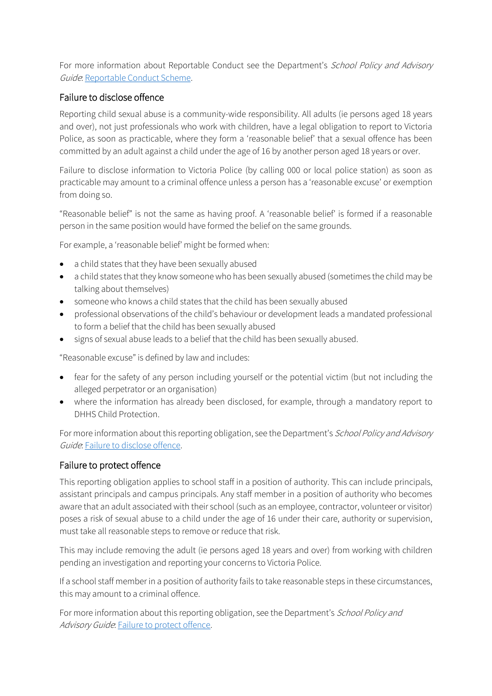For more information about Reportable Conduct see the Department's School Policy and Advisory Guide: [Reportable Conduct Scheme.](http://www.education.vic.gov.au/school/principals/spag/safety/Pages/reportableconductscheme.aspx)

## Failure to disclose offence

Reporting child sexual abuse is a community-wide responsibility. All adults (ie persons aged 18 years and over), not just professionals who work with children, have a legal obligation to report to Victoria Police, as soon as practicable, where they form a 'reasonable belief' that a sexual offence has been committed by an adult against a child under the age of 16 by another person aged 18 years or over.

Failure to disclose information to Victoria Police (by calling 000 or local police station) as soon as practicable may amount to a criminal offence unless a person has a 'reasonable excuse' or exemption from doing so.

"Reasonable belief" is not the same as having proof. A 'reasonable belief' is formed if a reasonable person in the same position would have formed the belief on the same grounds.

For example, a 'reasonable belief' might be formed when:

- a child states that they have been sexually abused
- a child states that they know someone who has been sexually abused (sometimes the child may be talking about themselves)
- someone who knows a child states that the child has been sexually abused
- professional observations of the child's behaviour or development leads a mandated professional to form a belief that the child has been sexually abused
- signs of sexual abuse leads to a belief that the child has been sexually abused.

"Reasonable excuse" is defined by law and includes:

- fear for the safety of any person including yourself or the potential victim (but not including the alleged perpetrator or an organisation)
- where the information has already been disclosed, for example, through a mandatory report to DHHS Child Protection.

For more information about this reporting obligation, see the Department's School Policy and Advisory Guide. Failure to disclose offence.

## Failure to protect offence

This reporting obligation applies to school staff in a position of authority. This can include principals, assistant principals and campus principals. Any staff member in a position of authority who becomes aware that an adult associated with their school (such as an employee, contractor, volunteer or visitor) poses a risk of sexual abuse to a child under the age of 16 under their care, authority or supervision, must take all reasonable steps to remove or reduce that risk.

This may include removing the adult (ie persons aged 18 years and over) from working with children pending an investigation and reporting your concerns to Victoria Police.

If a school staff member in a position of authority fails to take reasonable steps in these circumstances, this may amount to a criminal offence.

For more information about this reporting obligation, see the Department's School Policy and Advisory Guide. Failure to protect offence.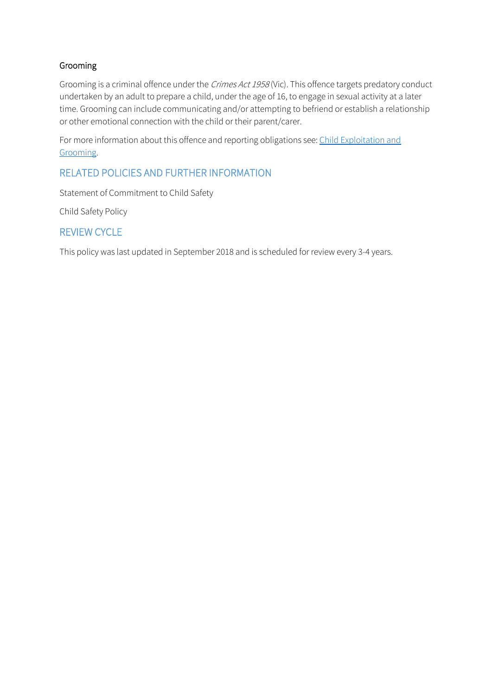## Grooming

Grooming is a criminal offence under the Crimes Act 1958 (Vic). This offence targets predatory conduct undertaken by an adult to prepare a child, under the age of 16, to engage in sexual activity at a later time. Grooming can include communicating and/or attempting to befriend or establish a relationship or other emotional connection with the child or their parent/carer.

For more information about this offence and reporting obligations see[: Child Exploitation and](https://www.education.vic.gov.au/school/teachers/health/childprotection/Pages/expolitationgrooming.aspx)  [Grooming.](https://www.education.vic.gov.au/school/teachers/health/childprotection/Pages/expolitationgrooming.aspx)

# RELATED POLICIES AND FURTHER INFORMATION

Statement of Commitment to Child Safety

Child Safety Policy

# REVIEW CYCLE

This policy was last updated in September 2018 and is scheduled for review every 3-4 years.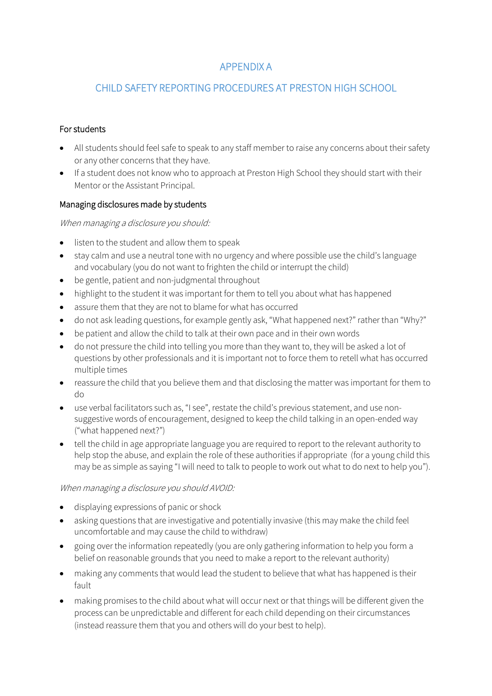# APPENDIX A

# CHILD SAFETY REPORTING PROCEDURES AT PRESTON HIGH SCHOOL

#### For students

- All students should feel safe to speak to any staff member to raise any concerns about their safety or any other concerns that they have.
- If a student does not know who to approach at Preston High School they should start with their Mentor or the Assistant Principal.

#### Managing disclosures made by students

#### When managing a disclosure you should:

- listen to the student and allow them to speak
- stay calm and use a neutral tone with no urgency and where possible use the child's language and vocabulary (you do not want to frighten the child or interrupt the child)
- be gentle, patient and non-judgmental throughout
- highlight to the student it was important for them to tell you about what has happened
- assure them that they are not to blame for what has occurred
- do not ask leading questions, for example gently ask, "What happened next?" rather than "Why?"
- be patient and allow the child to talk at their own pace and in their own words
- do not pressure the child into telling you more than they want to, they will be asked a lot of questions by other professionals and it is important not to force them to retell what has occurred multiple times
- reassure the child that you believe them and that disclosing the matter was important for them to do
- use verbal facilitators such as, "I see", restate the child's previous statement, and use nonsuggestive words of encouragement, designed to keep the child talking in an open-ended way ("what happened next?")
- tell the child in age appropriate language you are required to report to the relevant authority to help stop the abuse, and explain the role of these authorities if appropriate (for a young child this may be as simple as saying "I will need to talk to people to work out what to do next to help you").

#### When managing a disclosure you should AVOID:

- displaying expressions of panic or shock
- asking questions that are investigative and potentially invasive (this may make the child feel uncomfortable and may cause the child to withdraw)
- going over the information repeatedly (you are only gathering information to help you form a belief on reasonable grounds that you need to make a report to the relevant authority)
- making any comments that would lead the student to believe that what has happened is their fault
- making promises to the child about what will occur next or that things will be different given the process can be unpredictable and different for each child depending on their circumstances (instead reassure them that you and others will do your best to help).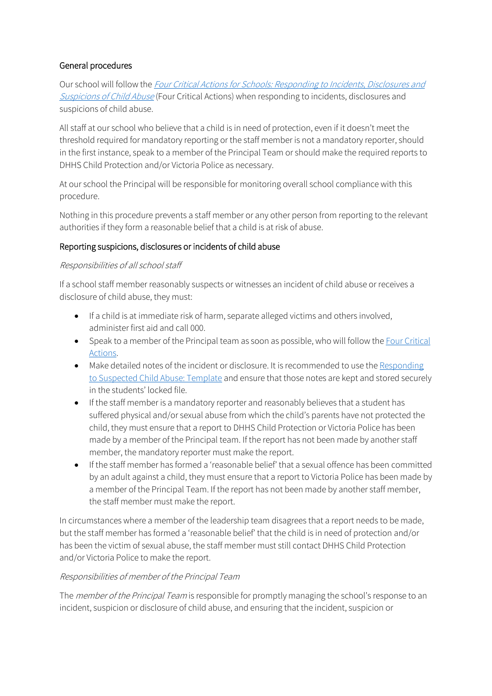## General procedures

Our school will follow the *Four Critical Actions for Schools: Responding to Incidents, Disclosures and* [Suspicions of Child Abuse](https://www.education.vic.gov.au/Documents/about/programs/health/protect/FourCriticalActions_ChildAbuse.pdf) (Four Critical Actions) when responding to incidents, disclosures and suspicions of child abuse.

All staff at our school who believe that a child is in need of protection, even if it doesn't meet the threshold required for mandatory reporting or the staff member is not a mandatory reporter, should in the first instance, speak to a member of the Principal Team or should make the required reports to DHHS Child Protection and/or Victoria Police as necessary.

At our school the Principal will be responsible for monitoring overall school compliance with this procedure.

Nothing in this procedure prevents a staff member or any other person from reporting to the relevant authorities if they form a reasonable belief that a child is at risk of abuse.

#### Reporting suspicions, disclosures or incidents of child abuse

#### Responsibilities of all school staff

If a school staff member reasonably suspects or witnesses an incident of child abuse or receives a disclosure of child abuse, they must:

- If a child is at immediate risk of harm, separate alleged victims and others involved, administer first aid and call 000.
- Speak to a member of the Principal team as soon as possible, who will follow the [Four Critical](https://www.education.vic.gov.au/Documents/about/programs/health/protect/FourCriticalActions_ChildAbuse.pdf)  [Actions.](https://www.education.vic.gov.au/Documents/about/programs/health/protect/FourCriticalActions_ChildAbuse.pdf)
- Make detailed notes of the incident or disclosure. It is recommended to use the Responding [to Suspected Child Abuse: Template](https://www.education.vic.gov.au/Documents/about/programs/health/protect/PROTECT_Schoolstemplate.pdf) and ensure that those notes are kept and stored securely in the students' locked file.
- If the staff member is a mandatory reporter and reasonably believes that a student has suffered physical and/or sexual abuse from which the child's parents have not protected the child, they must ensure that a report to DHHS Child Protection or Victoria Police has been made by a member of the Principal team. If the report has not been made by another staff member, the mandatory reporter must make the report.
- If the staff member has formed a 'reasonable belief' that a sexual offence has been committed by an adult against a child, they must ensure that a report to Victoria Police has been made by a member of the Principal Team. If the report has not been made by another staff member, the staff member must make the report.

In circumstances where a member of the leadership team disagrees that a report needs to be made, but the staff member has formed a 'reasonable belief' that the child is in need of protection and/or has been the victim of sexual abuse, the staff member must still contact DHHS Child Protection and/or Victoria Police to make the report.

#### Responsibilities of member of the Principal Team

The *member of the Principal Team* is responsible for promptly managing the school's response to an incident, suspicion or disclosure of child abuse, and ensuring that the incident, suspicion or